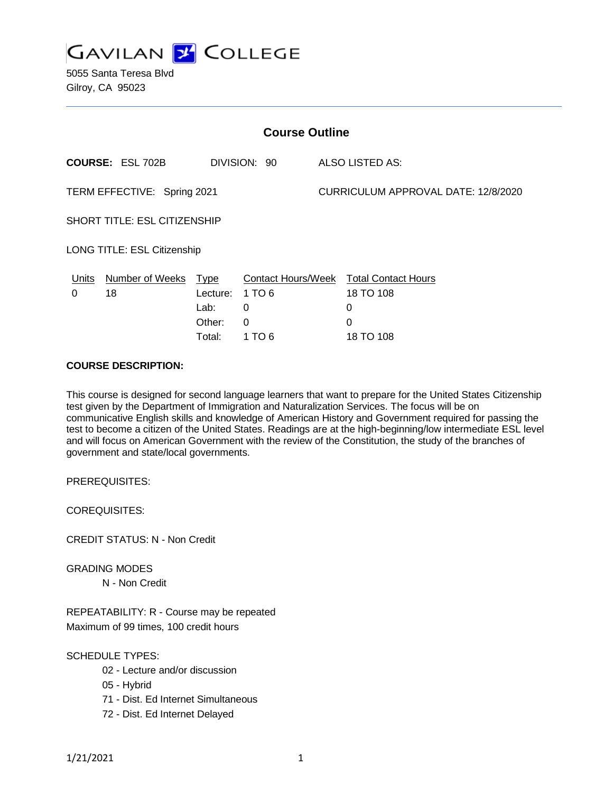

5055 Santa Teresa Blvd Gilroy, CA 95023

| <b>Course Outline</b>               |                                                                                     |                                                                |  |
|-------------------------------------|-------------------------------------------------------------------------------------|----------------------------------------------------------------|--|
|                                     |                                                                                     | ALSO LISTED AS:                                                |  |
|                                     |                                                                                     | CURRICULUM APPROVAL DATE: 12/8/2020                            |  |
| <b>SHORT TITLE: ESL CITIZENSHIP</b> |                                                                                     |                                                                |  |
|                                     |                                                                                     |                                                                |  |
| Lecture:<br>Lab:<br>Other:          | <b>Contact Hours/Week</b><br>1 TO 6<br>0<br>$\Omega$                                | <b>Total Contact Hours</b><br>18 TO 108<br>0<br>0<br>18 TO 108 |  |
|                                     | TERM EFFECTIVE: Spring 2021<br>LONG TITLE: ESL Citizenship<br><b>Type</b><br>Total: | DIVISION: 90<br>1 TO 6                                         |  |

### **COURSE DESCRIPTION:**

This course is designed for second language learners that want to prepare for the United States Citizenship test given by the Department of Immigration and Naturalization Services. The focus will be on communicative English skills and knowledge of American History and Government required for passing the test to become a citizen of the United States. Readings are at the high-beginning/low intermediate ESL level and will focus on American Government with the review of the Constitution, the study of the branches of government and state/local governments.

PREREQUISITES:

COREQUISITES:

CREDIT STATUS: N - Non Credit

GRADING MODES

N - Non Credit

REPEATABILITY: R - Course may be repeated Maximum of 99 times, 100 credit hours

SCHEDULE TYPES:

- 02 Lecture and/or discussion
- 05 Hybrid
- 71 Dist. Ed Internet Simultaneous
- 72 Dist. Ed Internet Delayed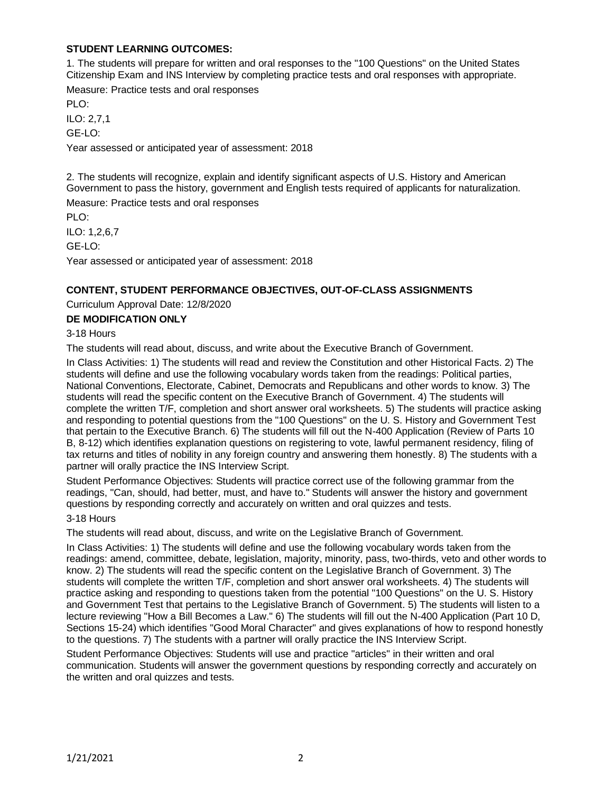## **STUDENT LEARNING OUTCOMES:**

1. The students will prepare for written and oral responses to the "100 Questions" on the United States Citizenship Exam and INS Interview by completing practice tests and oral responses with appropriate.

Measure: Practice tests and oral responses

 $PIO$ 

ILO: 2,7,1

GE-LO:

Year assessed or anticipated year of assessment: 2018

2. The students will recognize, explain and identify significant aspects of U.S. History and American Government to pass the history, government and English tests required of applicants for naturalization.

Measure: Practice tests and oral responses

PLO:

ILO: 1,2,6,7

GE-LO:

Year assessed or anticipated year of assessment: 2018

## **CONTENT, STUDENT PERFORMANCE OBJECTIVES, OUT-OF-CLASS ASSIGNMENTS**

Curriculum Approval Date: 12/8/2020

## **DE MODIFICATION ONLY**

3-18 Hours

The students will read about, discuss, and write about the Executive Branch of Government.

In Class Activities: 1) The students will read and review the Constitution and other Historical Facts. 2) The students will define and use the following vocabulary words taken from the readings: Political parties, National Conventions, Electorate, Cabinet, Democrats and Republicans and other words to know. 3) The students will read the specific content on the Executive Branch of Government. 4) The students will complete the written T/F, completion and short answer oral worksheets. 5) The students will practice asking and responding to potential questions from the "100 Questions" on the U. S. History and Government Test that pertain to the Executive Branch. 6) The students will fill out the N-400 Application (Review of Parts 10 B, 8-12) which identifies explanation questions on registering to vote, lawful permanent residency, filing of tax returns and titles of nobility in any foreign country and answering them honestly. 8) The students with a partner will orally practice the INS Interview Script.

Student Performance Objectives: Students will practice correct use of the following grammar from the readings, "Can, should, had better, must, and have to." Students will answer the history and government questions by responding correctly and accurately on written and oral quizzes and tests.

## 3-18 Hours

The students will read about, discuss, and write on the Legislative Branch of Government.

In Class Activities: 1) The students will define and use the following vocabulary words taken from the readings: amend, committee, debate, legislation, majority, minority, pass, two-thirds, veto and other words to know. 2) The students will read the specific content on the Legislative Branch of Government. 3) The students will complete the written T/F, completion and short answer oral worksheets. 4) The students will practice asking and responding to questions taken from the potential "100 Questions" on the U. S. History and Government Test that pertains to the Legislative Branch of Government. 5) The students will listen to a lecture reviewing "How a Bill Becomes a Law." 6) The students will fill out the N-400 Application (Part 10 D, Sections 15-24) which identifies "Good Moral Character" and gives explanations of how to respond honestly to the questions. 7) The students with a partner will orally practice the INS Interview Script.

Student Performance Objectives: Students will use and practice "articles" in their written and oral communication. Students will answer the government questions by responding correctly and accurately on the written and oral quizzes and tests.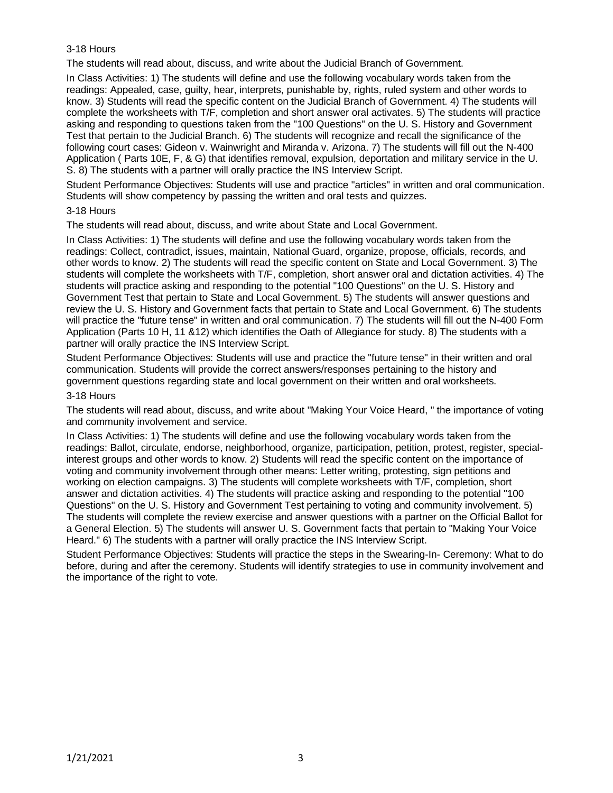## 3-18 Hours

The students will read about, discuss, and write about the Judicial Branch of Government.

In Class Activities: 1) The students will define and use the following vocabulary words taken from the readings: Appealed, case, guilty, hear, interprets, punishable by, rights, ruled system and other words to know. 3) Students will read the specific content on the Judicial Branch of Government. 4) The students will complete the worksheets with T/F, completion and short answer oral activates. 5) The students will practice asking and responding to questions taken from the "100 Questions" on the U. S. History and Government Test that pertain to the Judicial Branch. 6) The students will recognize and recall the significance of the following court cases: Gideon v. Wainwright and Miranda v. Arizona. 7) The students will fill out the N-400 Application ( Parts 10E, F, & G) that identifies removal, expulsion, deportation and military service in the U. S. 8) The students with a partner will orally practice the INS Interview Script.

Student Performance Objectives: Students will use and practice "articles" in written and oral communication. Students will show competency by passing the written and oral tests and quizzes.

#### 3-18 Hours

The students will read about, discuss, and write about State and Local Government.

In Class Activities: 1) The students will define and use the following vocabulary words taken from the readings: Collect, contradict, issues, maintain, National Guard, organize, propose, officials, records, and other words to know. 2) The students will read the specific content on State and Local Government. 3) The students will complete the worksheets with T/F, completion, short answer oral and dictation activities. 4) The students will practice asking and responding to the potential "100 Questions" on the U. S. History and Government Test that pertain to State and Local Government. 5) The students will answer questions and review the U. S. History and Government facts that pertain to State and Local Government. 6) The students will practice the "future tense" in written and oral communication. 7) The students will fill out the N-400 Form Application (Parts 10 H, 11 &12) which identifies the Oath of Allegiance for study. 8) The students with a partner will orally practice the INS Interview Script.

Student Performance Objectives: Students will use and practice the "future tense" in their written and oral communication. Students will provide the correct answers/responses pertaining to the history and government questions regarding state and local government on their written and oral worksheets.

#### 3-18 Hours

The students will read about, discuss, and write about "Making Your Voice Heard, " the importance of voting and community involvement and service.

In Class Activities: 1) The students will define and use the following vocabulary words taken from the readings: Ballot, circulate, endorse, neighborhood, organize, participation, petition, protest, register, specialinterest groups and other words to know. 2) Students will read the specific content on the importance of voting and community involvement through other means: Letter writing, protesting, sign petitions and working on election campaigns. 3) The students will complete worksheets with T/F, completion, short answer and dictation activities. 4) The students will practice asking and responding to the potential "100 Questions" on the U. S. History and Government Test pertaining to voting and community involvement. 5) The students will complete the review exercise and answer questions with a partner on the Official Ballot for a General Election. 5) The students will answer U. S. Government facts that pertain to "Making Your Voice Heard." 6) The students with a partner will orally practice the INS Interview Script.

Student Performance Objectives: Students will practice the steps in the Swearing-In- Ceremony: What to do before, during and after the ceremony. Students will identify strategies to use in community involvement and the importance of the right to vote.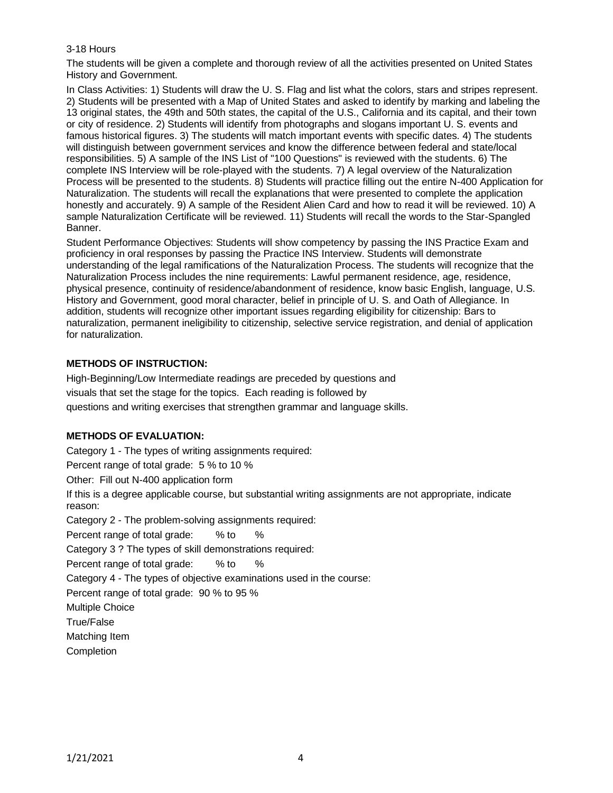## 3-18 Hours

The students will be given a complete and thorough review of all the activities presented on United States History and Government.

In Class Activities: 1) Students will draw the U. S. Flag and list what the colors, stars and stripes represent. 2) Students will be presented with a Map of United States and asked to identify by marking and labeling the 13 original states, the 49th and 50th states, the capital of the U.S., California and its capital, and their town or city of residence. 2) Students will identify from photographs and slogans important U. S. events and famous historical figures. 3) The students will match important events with specific dates. 4) The students will distinguish between government services and know the difference between federal and state/local responsibilities. 5) A sample of the INS List of "100 Questions" is reviewed with the students. 6) The complete INS Interview will be role-played with the students. 7) A legal overview of the Naturalization Process will be presented to the students. 8) Students will practice filling out the entire N-400 Application for Naturalization. The students will recall the explanations that were presented to complete the application honestly and accurately. 9) A sample of the Resident Alien Card and how to read it will be reviewed. 10) A sample Naturalization Certificate will be reviewed. 11) Students will recall the words to the Star-Spangled Banner.

Student Performance Objectives: Students will show competency by passing the INS Practice Exam and proficiency in oral responses by passing the Practice INS Interview. Students will demonstrate understanding of the legal ramifications of the Naturalization Process. The students will recognize that the Naturalization Process includes the nine requirements: Lawful permanent residence, age, residence, physical presence, continuity of residence/abandonment of residence, know basic English, language, U.S. History and Government, good moral character, belief in principle of U. S. and Oath of Allegiance. In addition, students will recognize other important issues regarding eligibility for citizenship: Bars to naturalization, permanent ineligibility to citizenship, selective service registration, and denial of application for naturalization.

## **METHODS OF INSTRUCTION:**

High-Beginning/Low Intermediate readings are preceded by questions and visuals that set the stage for the topics. Each reading is followed by questions and writing exercises that strengthen grammar and language skills.

# **METHODS OF EVALUATION:**

Category 1 - The types of writing assignments required:

Percent range of total grade: 5 % to 10 %

Other: Fill out N-400 application form

If this is a degree applicable course, but substantial writing assignments are not appropriate, indicate reason:

Category 2 - The problem-solving assignments required:

Percent range of total grade: % to %

Category 3 ? The types of skill demonstrations required:

Percent range of total grade: % to %

Category 4 - The types of objective examinations used in the course:

Percent range of total grade: 90 % to 95 %

Multiple Choice

True/False

Matching Item

**Completion**